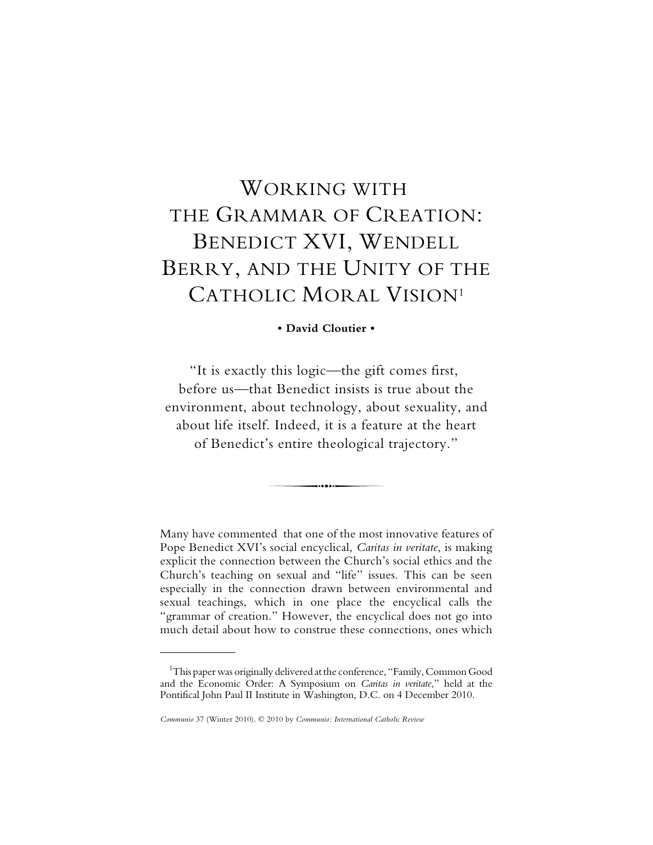# WORKING WITH THE GRAMMAR OF CREATION: BENEDICT XVI, WENDELL BERRY, AND THE UNITY OF THE CATHOLIC MORAL VISION1

**• David Cloutier •**

"It is exactly this logic—the gift comes first, before us—that Benedict insists is true about the environment, about technology, about sexuality, and about life itself. Indeed, it is a feature at the heart of Benedict's entire theological trajectory."

......

Many have commented that one of the most innovative features of Pope Benedict XVI's social encyclical, *Caritas in veritate*, is making explicit the connection between the Church's social ethics and the Church's teaching on sexual and "life" issues. This can be seen especially in the connection drawn between environmental and sexual teachings, which in one place the encyclical calls the "grammar of creation." However, the encyclical does not go into much detail about how to construe these connections, ones which

 $\rm ^1$ This paper was originally delivered at the conference, "Family, Common Good and the Economic Order: A Symposium on *Caritas in veritate*," held at the Pontifical John Paul II Institute in Washington, D.C. on 4 December 2010.

*Communio* 37 (Winter 2010). © 2010 by *Communio: International Catholic Review*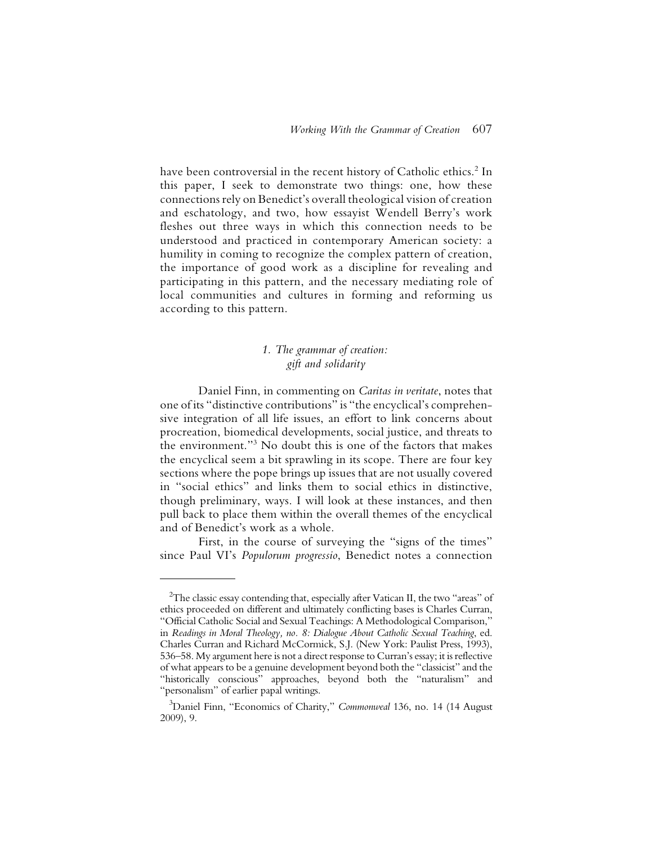have been controversial in the recent history of Catholic ethics. $^2$  In this paper, I seek to demonstrate two things: one, how these connections rely on Benedict's overall theological vision of creation and eschatology, and two, how essayist Wendell Berry's work fleshes out three ways in which this connection needs to be understood and practiced in contemporary American society: a humility in coming to recognize the complex pattern of creation, the importance of good work as a discipline for revealing and participating in this pattern, and the necessary mediating role of local communities and cultures in forming and reforming us according to this pattern.

## *1. The grammar of creation: gift and solidarity*

Daniel Finn, in commenting on *Caritas in veritate*, notes that one of its "distinctive contributions" is "the encyclical's comprehensive integration of all life issues, an effort to link concerns about procreation, biomedical developments, social justice, and threats to the environment."3 No doubt this is one of the factors that makes the encyclical seem a bit sprawling in its scope. There are four key sections where the pope brings up issues that are not usually covered in "social ethics" and links them to social ethics in distinctive, though preliminary, ways. I will look at these instances, and then pull back to place them within the overall themes of the encyclical and of Benedict's work as a whole.

First, in the course of surveying the "signs of the times" since Paul VI's *Populorum progressio*, Benedict notes a connection

 $^2$ The classic essay contending that, especially after Vatican II, the two "areas" of ethics proceeded on different and ultimately conflicting bases is Charles Curran, "Official Catholic Social and Sexual Teachings: A Methodological Comparison," in *Readings in Moral Theology, no. 8: Dialogue About Catholic Sexual Teaching*, ed. Charles Curran and Richard McCormick, S.J. (New York: Paulist Press, 1993), 536–58. My argument here is not a direct response to Curran's essay; it is reflective of what appears to be a genuine development beyond both the "classicist" and the "historically conscious" approaches, beyond both the "naturalism" and "personalism" of earlier papal writings.

<sup>3</sup> Daniel Finn, "Economics of Charity," *Commonweal* 136, no. 14 (14 August 2009), 9.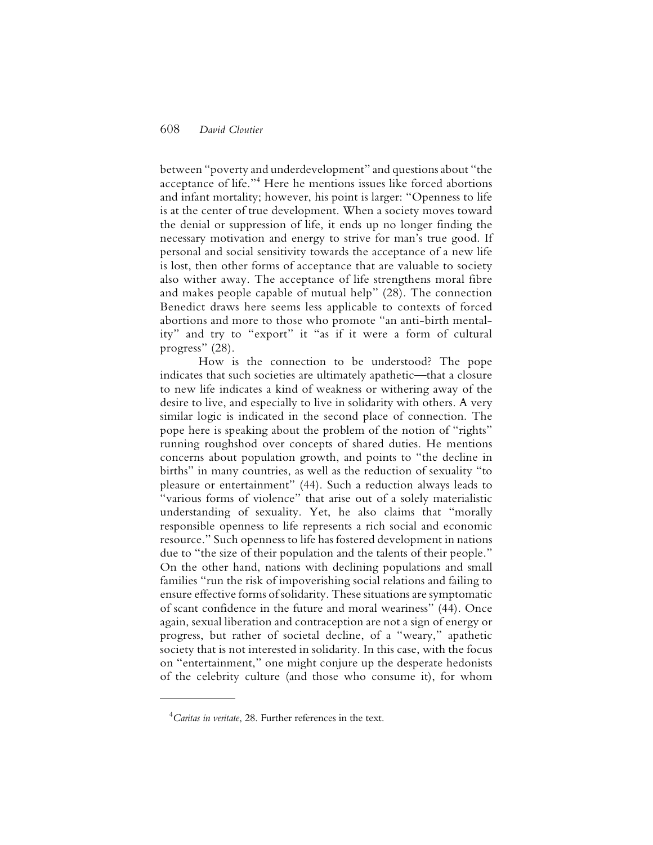between "poverty and underdevelopment" and questions about "the acceptance of life."4 Here he mentions issues like forced abortions and infant mortality; however, his point is larger: "Openness to life is at the center of true development. When a society moves toward the denial or suppression of life, it ends up no longer finding the necessary motivation and energy to strive for man's true good. If personal and social sensitivity towards the acceptance of a new life is lost, then other forms of acceptance that are valuable to society also wither away. The acceptance of life strengthens moral fibre and makes people capable of mutual help" (28). The connection Benedict draws here seems less applicable to contexts of forced abortions and more to those who promote "an anti-birth mentality" and try to "export" it "as if it were a form of cultural progress" (28).

How is the connection to be understood? The pope indicates that such societies are ultimately apathetic—that a closure to new life indicates a kind of weakness or withering away of the desire to live, and especially to live in solidarity with others. A very similar logic is indicated in the second place of connection. The pope here is speaking about the problem of the notion of "rights" running roughshod over concepts of shared duties. He mentions concerns about population growth, and points to "the decline in births" in many countries, as well as the reduction of sexuality "to pleasure or entertainment" (44). Such a reduction always leads to "various forms of violence" that arise out of a solely materialistic understanding of sexuality. Yet, he also claims that "morally responsible openness to life represents a rich social and economic resource." Such openness to life has fostered development in nations due to "the size of their population and the talents of their people." On the other hand, nations with declining populations and small families "run the risk of impoverishing social relations and failing to ensure effective forms of solidarity. These situations are symptomatic of scant confidence in the future and moral weariness" (44). Once again, sexual liberation and contraception are not a sign of energy or progress, but rather of societal decline, of a "weary," apathetic society that is not interested in solidarity. In this case, with the focus on "entertainment," one might conjure up the desperate hedonists of the celebrity culture (and those who consume it), for whom

<sup>4</sup> *Caritas in veritate*, 28. Further references in the text.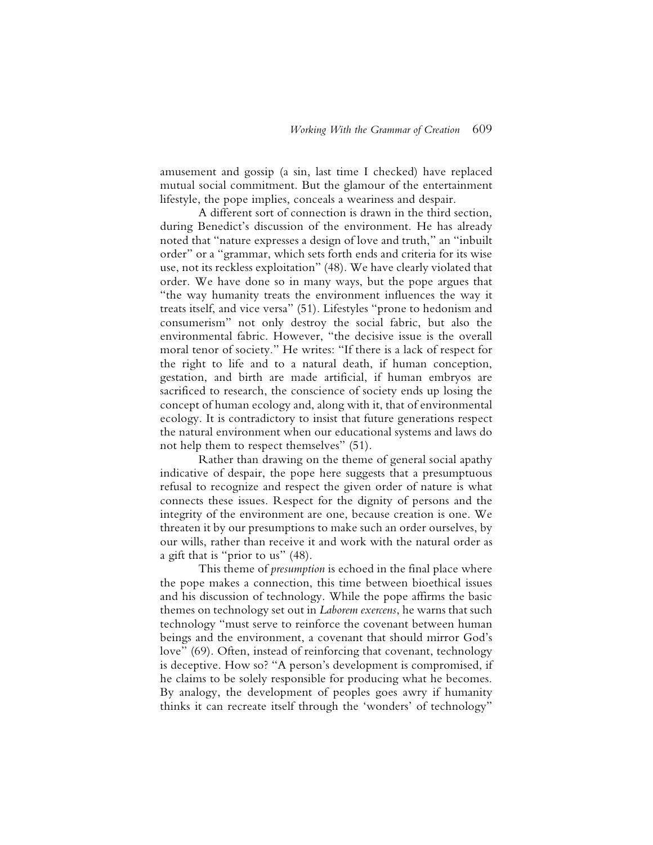amusement and gossip (a sin, last time I checked) have replaced mutual social commitment. But the glamour of the entertainment lifestyle, the pope implies, conceals a weariness and despair.

A different sort of connection is drawn in the third section, during Benedict's discussion of the environment. He has already noted that "nature expresses a design of love and truth," an "inbuilt order" or a "grammar, which sets forth ends and criteria for its wise use, not its reckless exploitation" (48). We have clearly violated that order. We have done so in many ways, but the pope argues that "the way humanity treats the environment influences the way it treats itself, and vice versa" (51). Lifestyles "prone to hedonism and consumerism" not only destroy the social fabric, but also the environmental fabric. However, "the decisive issue is the overall moral tenor of society." He writes: "If there is a lack of respect for the right to life and to a natural death, if human conception, gestation, and birth are made artificial, if human embryos are sacrificed to research, the conscience of society ends up losing the concept of human ecology and, along with it, that of environmental ecology. It is contradictory to insist that future generations respect the natural environment when our educational systems and laws do not help them to respect themselves" (51).

Rather than drawing on the theme of general social apathy indicative of despair, the pope here suggests that a presumptuous refusal to recognize and respect the given order of nature is what connects these issues. Respect for the dignity of persons and the integrity of the environment are one, because creation is one. We threaten it by our presumptions to make such an order ourselves, by our wills, rather than receive it and work with the natural order as a gift that is "prior to us" (48).

This theme of *presumption* is echoed in the final place where the pope makes a connection, this time between bioethical issues and his discussion of technology. While the pope affirms the basic themes on technology set out in *Laborem exercens*, he warns that such technology "must serve to reinforce the covenant between human beings and the environment, a covenant that should mirror God's love" (69). Often, instead of reinforcing that covenant, technology is deceptive. How so? "A person's development is compromised, if he claims to be solely responsible for producing what he becomes. By analogy, the development of peoples goes awry if humanity thinks it can recreate itself through the 'wonders' of technology"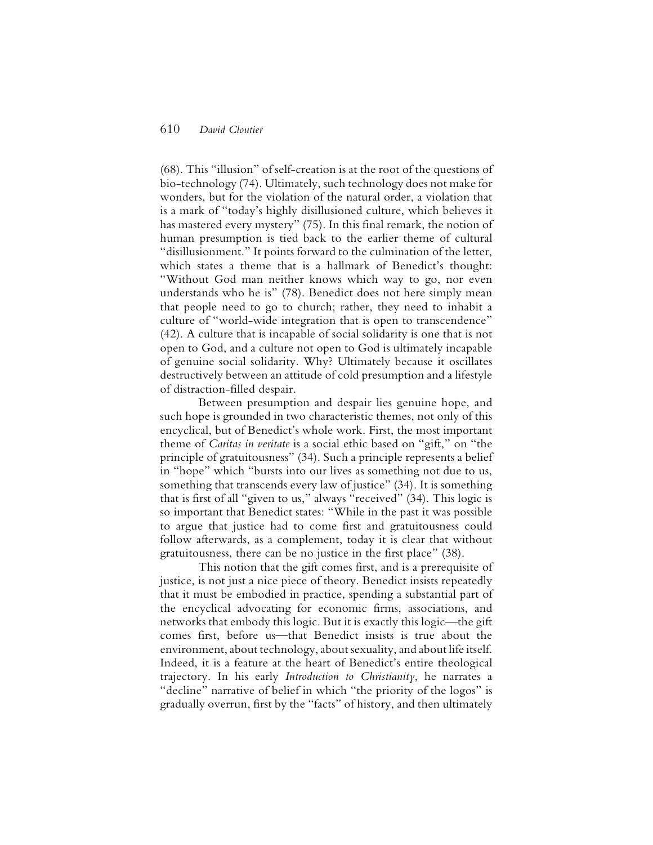(68). This "illusion" of self-creation is at the root of the questions of bio-technology (74). Ultimately, such technology does not make for wonders, but for the violation of the natural order, a violation that is a mark of "today's highly disillusioned culture, which believes it has mastered every mystery" (75). In this final remark, the notion of human presumption is tied back to the earlier theme of cultural "disillusionment." It points forward to the culmination of the letter, which states a theme that is a hallmark of Benedict's thought: "Without God man neither knows which way to go, nor even understands who he is" (78). Benedict does not here simply mean that people need to go to church; rather, they need to inhabit a culture of "world-wide integration that is open to transcendence" (42). A culture that is incapable of social solidarity is one that is not open to God, and a culture not open to God is ultimately incapable of genuine social solidarity. Why? Ultimately because it oscillates destructively between an attitude of cold presumption and a lifestyle of distraction-filled despair.

Between presumption and despair lies genuine hope, and such hope is grounded in two characteristic themes, not only of this encyclical, but of Benedict's whole work. First, the most important theme of *Caritas in veritate* is a social ethic based on "gift," on "the principle of gratuitousness" (34). Such a principle represents a belief in "hope" which "bursts into our lives as something not due to us, something that transcends every law of justice" (34). It is something that is first of all "given to us," always "received" (34). This logic is so important that Benedict states: "While in the past it was possible to argue that justice had to come first and gratuitousness could follow afterwards, as a complement, today it is clear that without gratuitousness, there can be no justice in the first place" (38).

This notion that the gift comes first, and is a prerequisite of justice, is not just a nice piece of theory. Benedict insists repeatedly that it must be embodied in practice, spending a substantial part of the encyclical advocating for economic firms, associations, and networks that embody this logic. But it is exactly this logic—the gift comes first, before us—that Benedict insists is true about the environment, about technology, about sexuality, and about life itself. Indeed, it is a feature at the heart of Benedict's entire theological trajectory. In his early *Introduction to Christianity*, he narrates a "decline" narrative of belief in which "the priority of the logos" is gradually overrun, first by the "facts" of history, and then ultimately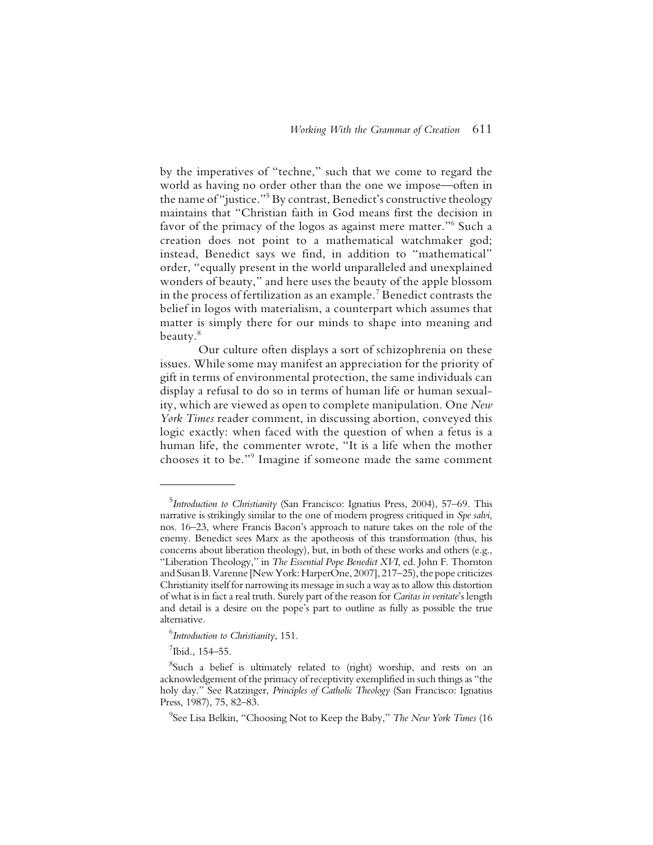by the imperatives of "techne," such that we come to regard the world as having no order other than the one we impose—often in the name of "justice."5 By contrast, Benedict's constructive theology maintains that "Christian faith in God means first the decision in favor of the primacy of the logos as against mere matter."6 Such a creation does not point to a mathematical watchmaker god; instead, Benedict says we find, in addition to "mathematical" order, "equally present in the world unparalleled and unexplained wonders of beauty," and here uses the beauty of the apple blossom in the process of fertilization as an example. $^7$  Benedict contrasts the belief in logos with materialism, a counterpart which assumes that matter is simply there for our minds to shape into meaning and beauty.8

Our culture often displays a sort of schizophrenia on these issues. While some may manifest an appreciation for the priority of gift in terms of environmental protection, the same individuals can display a refusal to do so in terms of human life or human sexuality, which are viewed as open to complete manipulation. One *New York Times* reader comment, in discussing abortion, conveyed this logic exactly: when faced with the question of when a fetus is a human life, the commenter wrote, "It is a life when the mother chooses it to be."9 Imagine if someone made the same comment

<sup>5</sup> *Introduction to Christianity* (San Francisco: Ignatius Press, 2004), 57–69. This narrative is strikingly similar to the one of modern progress critiqued in *Spe salvi*, nos. 16–23, where Francis Bacon's approach to nature takes on the role of the enemy. Benedict sees Marx as the apotheosis of this transformation (thus, his concerns about liberation theology), but, in both of these works and others (e.g., "Liberation Theology," in *The Essential Pope Benedict XVI*, ed. John F. Thornton and Susan B. Varenne [New York: HarperOne, 2007], 217–25), the pope criticizes Christianity itself for narrowing its message in such a way as to allow this distortion of what is in fact a real truth. Surely part of the reason for *Caritas in veritate*'s length and detail is a desire on the pope's part to outline as fully as possible the true alternative.

<sup>6</sup> *Introduction to Christianity*, 151.

<sup>7</sup> Ibid*.*, 154–55.

<sup>&</sup>lt;sup>8</sup>Such a belief is ultimately related to (right) worship, and rests on an acknowledgement of the primacy of receptivity exemplified in such things as "the holy day." See Ratzinger, *Principles of Catholic Theology* (San Francisco: Ignatius Press, 1987), 75, 82–83.

<sup>9</sup> See Lisa Belkin, "Choosing Not to Keep the Baby," *The New York Times* (16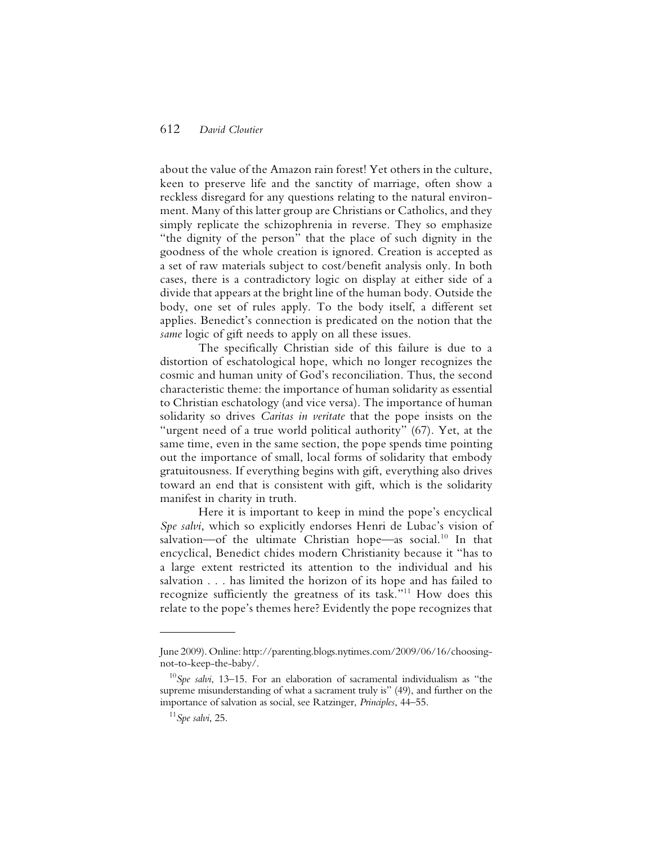about the value of the Amazon rain forest! Yet others in the culture, keen to preserve life and the sanctity of marriage, often show a reckless disregard for any questions relating to the natural environment. Many of this latter group are Christians or Catholics, and they simply replicate the schizophrenia in reverse. They so emphasize "the dignity of the person" that the place of such dignity in the goodness of the whole creation is ignored. Creation is accepted as a set of raw materials subject to cost/benefit analysis only. In both cases, there is a contradictory logic on display at either side of a divide that appears at the bright line of the human body. Outside the body, one set of rules apply. To the body itself, a different set applies. Benedict's connection is predicated on the notion that the *same* logic of gift needs to apply on all these issues.

The specifically Christian side of this failure is due to a distortion of eschatological hope, which no longer recognizes the cosmic and human unity of God's reconciliation. Thus, the second characteristic theme: the importance of human solidarity as essential to Christian eschatology (and vice versa). The importance of human solidarity so drives *Caritas in veritate* that the pope insists on the "urgent need of a true world political authority" (67). Yet, at the same time, even in the same section, the pope spends time pointing out the importance of small, local forms of solidarity that embody gratuitousness. If everything begins with gift, everything also drives toward an end that is consistent with gift, which is the solidarity manifest in charity in truth.

Here it is important to keep in mind the pope's encyclical *Spe salvi*, which so explicitly endorses Henri de Lubac's vision of salvation—of the ultimate Christian hope—as social.<sup>10</sup> In that encyclical, Benedict chides modern Christianity because it "has to a large extent restricted its attention to the individual and his salvation . . . has limited the horizon of its hope and has failed to recognize sufficiently the greatness of its task."11 How does this relate to the pope's themes here? Evidently the pope recognizes that

June 2009). Online: http://parenting.blogs.nytimes.com/2009/06/16/choosingnot-to-keep-the-baby/.

<sup>10</sup>*Spe salvi*, 13–15. For an elaboration of sacramental individualism as "the supreme misunderstanding of what a sacrament truly is" (49), and further on the importance of salvation as social, see Ratzinger, *Principles*, 44–55.

<sup>11</sup>*Spe salvi*, 25.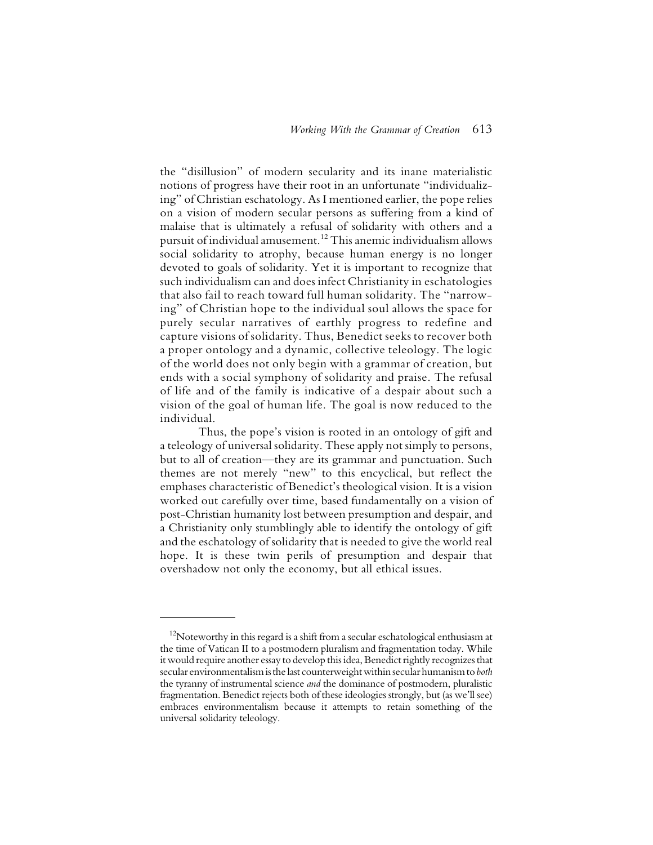the "disillusion" of modern secularity and its inane materialistic notions of progress have their root in an unfortunate "individualizing" of Christian eschatology. As I mentioned earlier, the pope relies on a vision of modern secular persons as suffering from a kind of malaise that is ultimately a refusal of solidarity with others and a pursuit of individual amusement.12 This anemic individualism allows social solidarity to atrophy, because human energy is no longer devoted to goals of solidarity. Yet it is important to recognize that such individualism can and does infect Christianity in eschatologies that also fail to reach toward full human solidarity. The "narrowing" of Christian hope to the individual soul allows the space for purely secular narratives of earthly progress to redefine and capture visions of solidarity. Thus, Benedict seeks to recover both a proper ontology and a dynamic, collective teleology. The logic of the world does not only begin with a grammar of creation, but ends with a social symphony of solidarity and praise. The refusal of life and of the family is indicative of a despair about such a vision of the goal of human life. The goal is now reduced to the individual.

Thus, the pope's vision is rooted in an ontology of gift and a teleology of universal solidarity. These apply not simply to persons, but to all of creation—they are its grammar and punctuation. Such themes are not merely "new" to this encyclical, but reflect the emphases characteristic of Benedict's theological vision. It is a vision worked out carefully over time, based fundamentally on a vision of post-Christian humanity lost between presumption and despair, and a Christianity only stumblingly able to identify the ontology of gift and the eschatology of solidarity that is needed to give the world real hope. It is these twin perils of presumption and despair that overshadow not only the economy, but all ethical issues.

 $12$ Noteworthy in this regard is a shift from a secular eschatological enthusiasm at the time of Vatican II to a postmodern pluralism and fragmentation today. While it would require another essay to develop this idea, Benedict rightly recognizes that secular environmentalism is the last counterweight within secular humanism to *both* the tyranny of instrumental science *and* the dominance of postmodern, pluralistic fragmentation. Benedict rejects both of these ideologies strongly, but (as we'll see) embraces environmentalism because it attempts to retain something of the universal solidarity teleology.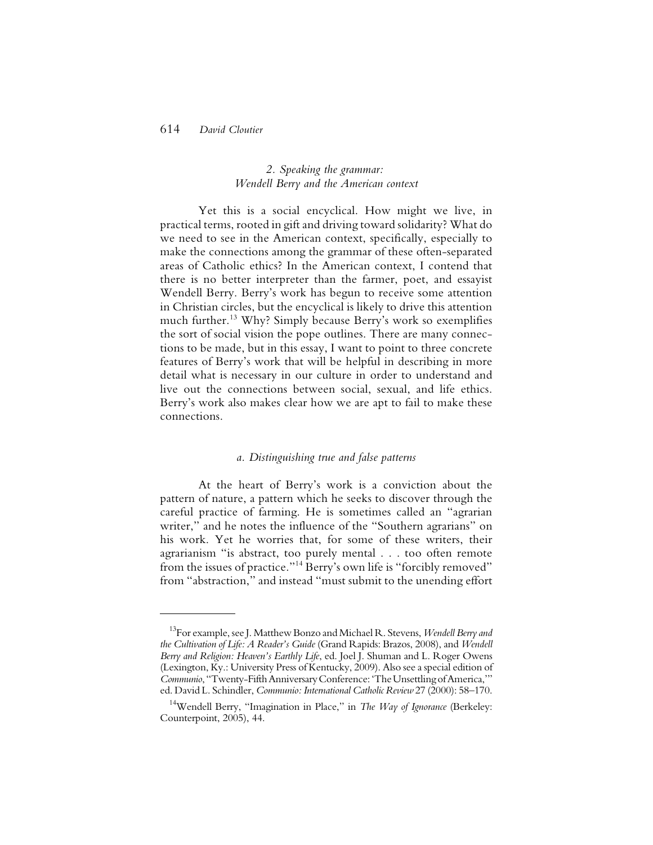## *2. Speaking the grammar: Wendell Berry and the American context*

Yet this is a social encyclical. How might we live, in practical terms, rooted in gift and driving toward solidarity? What do we need to see in the American context, specifically, especially to make the connections among the grammar of these often-separated areas of Catholic ethics? In the American context, I contend that there is no better interpreter than the farmer, poet, and essayist Wendell Berry. Berry's work has begun to receive some attention in Christian circles, but the encyclical is likely to drive this attention much further.13 Why? Simply because Berry's work so exemplifies the sort of social vision the pope outlines. There are many connections to be made, but in this essay, I want to point to three concrete features of Berry's work that will be helpful in describing in more detail what is necessary in our culture in order to understand and live out the connections between social, sexual, and life ethics. Berry's work also makes clear how we are apt to fail to make these connections.

## *a. Distinguishing true and false patterns*

At the heart of Berry's work is a conviction about the pattern of nature, a pattern which he seeks to discover through the careful practice of farming. He is sometimes called an "agrarian writer," and he notes the influence of the "Southern agrarians" on his work. Yet he worries that, for some of these writers, their agrarianism "is abstract, too purely mental . . . too often remote from the issues of practice."14 Berry's own life is "forcibly removed" from "abstraction," and instead "must submit to the unending effort

<sup>13</sup>For example, see J. Matthew Bonzo and Michael R. Stevens, *Wendell Berry and the Cultivation of Life: A Reader's Guide* (Grand Rapids: Brazos, 2008), and *Wendell Berry and Religion: Heaven's Earthly Life*, ed. Joel J. Shuman and L. Roger Owens (Lexington, Ky.: University Press of Kentucky, 2009). Also see a special edition of *Communio*, "Twenty-Fifth Anniversary Conference: 'The Unsettling of America,'" ed. David L. Schindler, *Communio: International Catholic Review* 27 (2000): 58–170.

<sup>14</sup>Wendell Berry, "Imagination in Place," in *The Way of Ignorance* (Berkeley: Counterpoint, 2005), 44.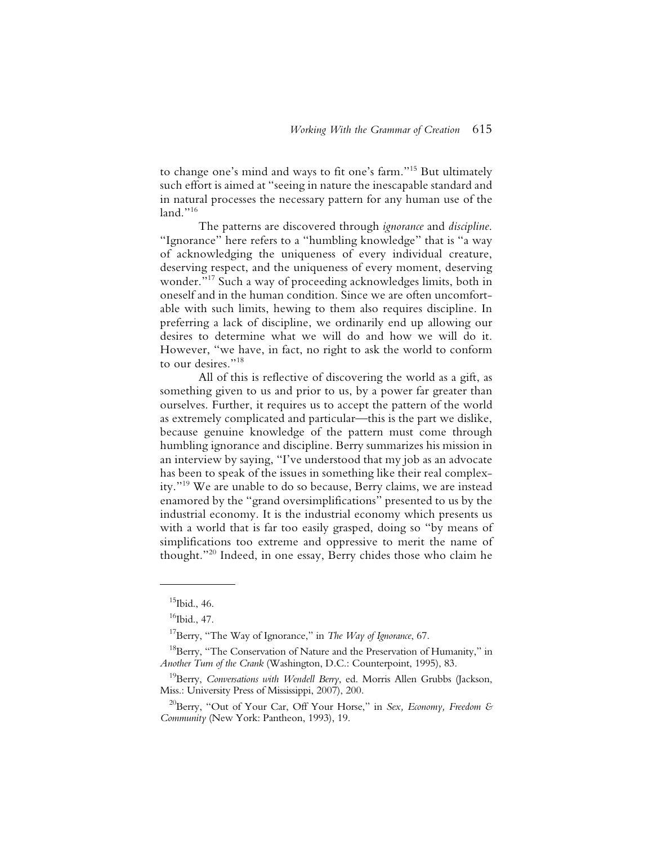to change one's mind and ways to fit one's farm."15 But ultimately such effort is aimed at "seeing in nature the inescapable standard and in natural processes the necessary pattern for any human use of the land."<sup>16</sup>

The patterns are discovered through *ignorance* and *discipline*. "Ignorance" here refers to a "humbling knowledge" that is "a way of acknowledging the uniqueness of every individual creature, deserving respect, and the uniqueness of every moment, deserving wonder."17 Such a way of proceeding acknowledges limits, both in oneself and in the human condition. Since we are often uncomfortable with such limits, hewing to them also requires discipline. In preferring a lack of discipline, we ordinarily end up allowing our desires to determine what we will do and how we will do it. However, "we have, in fact, no right to ask the world to conform to our desires."18

All of this is reflective of discovering the world as a gift, as something given to us and prior to us, by a power far greater than ourselves. Further, it requires us to accept the pattern of the world as extremely complicated and particular—this is the part we dislike, because genuine knowledge of the pattern must come through humbling ignorance and discipline. Berry summarizes his mission in an interview by saying, "I've understood that my job as an advocate has been to speak of the issues in something like their real complexity."19 We are unable to do so because, Berry claims, we are instead enamored by the "grand oversimplifications" presented to us by the industrial economy. It is the industrial economy which presents us with a world that is far too easily grasped, doing so "by means of simplifications too extreme and oppressive to merit the name of thought."20 Indeed, in one essay, Berry chides those who claim he

 $15$ Ibid., 46.

 $16$ Ibid., 47.

<sup>17</sup>Berry, "The Way of Ignorance," in *The Way of Ignorance*, 67.

<sup>&</sup>lt;sup>18</sup>Berry, "The Conservation of Nature and the Preservation of Humanity," in *Another Turn of the Crank* (Washington, D.C.: Counterpoint, 1995), 83.

<sup>19</sup>Berry, *Conversations with Wendell Berry*, ed. Morris Allen Grubbs (Jackson, Miss.: University Press of Mississippi, 2007), 200.

<sup>20</sup>Berry, "Out of Your Car, Off Your Horse," in *Sex, Economy, Freedom & Community* (New York: Pantheon, 1993), 19.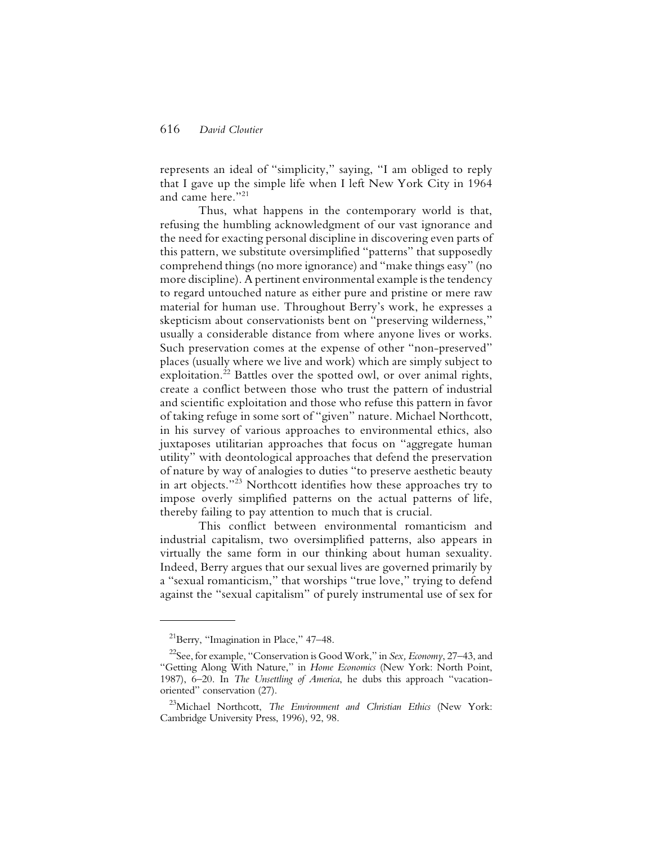represents an ideal of "simplicity," saying, "I am obliged to reply that I gave up the simple life when I left New York City in 1964 and came here."21

Thus, what happens in the contemporary world is that, refusing the humbling acknowledgment of our vast ignorance and the need for exacting personal discipline in discovering even parts of this pattern, we substitute oversimplified "patterns" that supposedly comprehend things (no more ignorance) and "make things easy" (no more discipline). A pertinent environmental example is the tendency to regard untouched nature as either pure and pristine or mere raw material for human use. Throughout Berry's work, he expresses a skepticism about conservationists bent on "preserving wilderness," usually a considerable distance from where anyone lives or works. Such preservation comes at the expense of other "non-preserved" places (usually where we live and work) which are simply subject to exploitation.<sup>22</sup> Battles over the spotted owl, or over animal rights, create a conflict between those who trust the pattern of industrial and scientific exploitation and those who refuse this pattern in favor of taking refuge in some sort of "given" nature. Michael Northcott, in his survey of various approaches to environmental ethics, also juxtaposes utilitarian approaches that focus on "aggregate human utility" with deontological approaches that defend the preservation of nature by way of analogies to duties "to preserve aesthetic beauty in art objects."23 Northcott identifies how these approaches try to impose overly simplified patterns on the actual patterns of life, thereby failing to pay attention to much that is crucial.

This conflict between environmental romanticism and industrial capitalism, two oversimplified patterns, also appears in virtually the same form in our thinking about human sexuality. Indeed, Berry argues that our sexual lives are governed primarily by a "sexual romanticism," that worships "true love," trying to defend against the "sexual capitalism" of purely instrumental use of sex for

 $^{21}$ Berry, "Imagination in Place," 47–48.

<sup>22</sup>See, for example, "Conservation is Good Work," in *Sex, Economy*, 27–43, and "Getting Along With Nature," in *Home Economics* (New York: North Point, 1987), 6–20. In *The Unsettling of America*, he dubs this approach "vacationoriented" conservation (27).

<sup>23</sup>Michael Northcott, *The Environment and Christian Ethics* (New York: Cambridge University Press, 1996), 92, 98.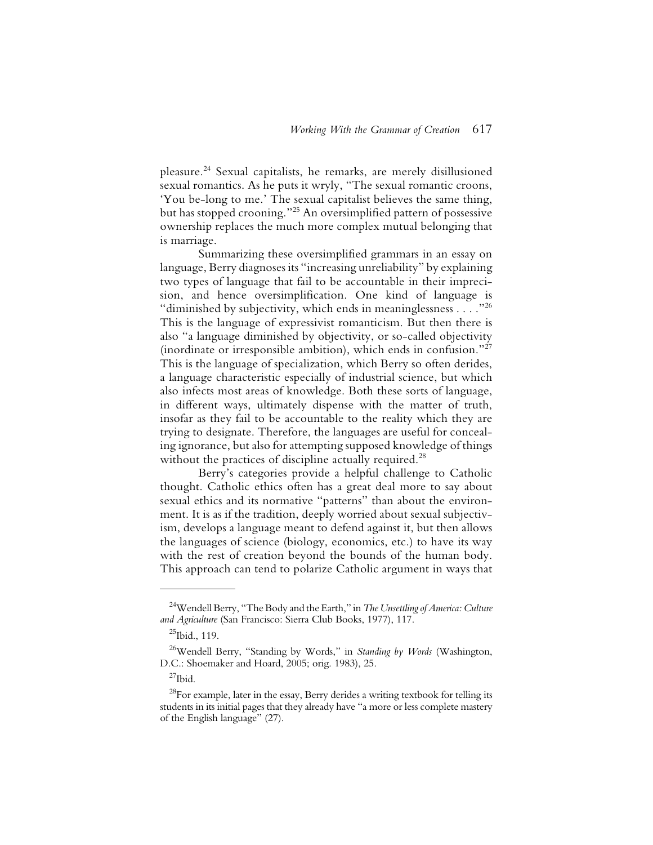pleasure.24 Sexual capitalists, he remarks, are merely disillusioned sexual romantics. As he puts it wryly, "The sexual romantic croons, 'You be-long to me.' The sexual capitalist believes the same thing, but has stopped crooning."25 An oversimplified pattern of possessive ownership replaces the much more complex mutual belonging that is marriage.

Summarizing these oversimplified grammars in an essay on language, Berry diagnoses its "increasing unreliability" by explaining two types of language that fail to be accountable in their imprecision, and hence oversimplification. One kind of language is "diminished by subjectivity, which ends in meaninglessness  $\dots$ ."<sup>26</sup> This is the language of expressivist romanticism. But then there is also "a language diminished by objectivity, or so-called objectivity (inordinate or irresponsible ambition), which ends in confusion."27 This is the language of specialization, which Berry so often derides, a language characteristic especially of industrial science, but which also infects most areas of knowledge. Both these sorts of language, in different ways, ultimately dispense with the matter of truth, insofar as they fail to be accountable to the reality which they are trying to designate. Therefore, the languages are useful for concealing ignorance, but also for attempting supposed knowledge of things without the practices of discipline actually required.<sup>28</sup>

Berry's categories provide a helpful challenge to Catholic thought. Catholic ethics often has a great deal more to say about sexual ethics and its normative "patterns" than about the environment. It is as if the tradition, deeply worried about sexual subjectivism, develops a language meant to defend against it, but then allows the languages of science (biology, economics, etc.) to have its way with the rest of creation beyond the bounds of the human body. This approach can tend to polarize Catholic argument in ways that

<sup>24</sup>Wendell Berry, "The Body and the Earth," in *The Unsettling of America: Culture and Agriculture* (San Francisco: Sierra Club Books, 1977), 117.

 $^{25}$ Ibid., 119.

<sup>26</sup>Wendell Berry, "Standing by Words," in *Standing by Words* (Washington, D.C.: Shoemaker and Hoard, 2005; orig. 1983), 25.

 $^{27}$ Ibid.

 $28$ For example, later in the essay, Berry derides a writing textbook for telling its students in its initial pages that they already have "a more or less complete mastery of the English language" (27).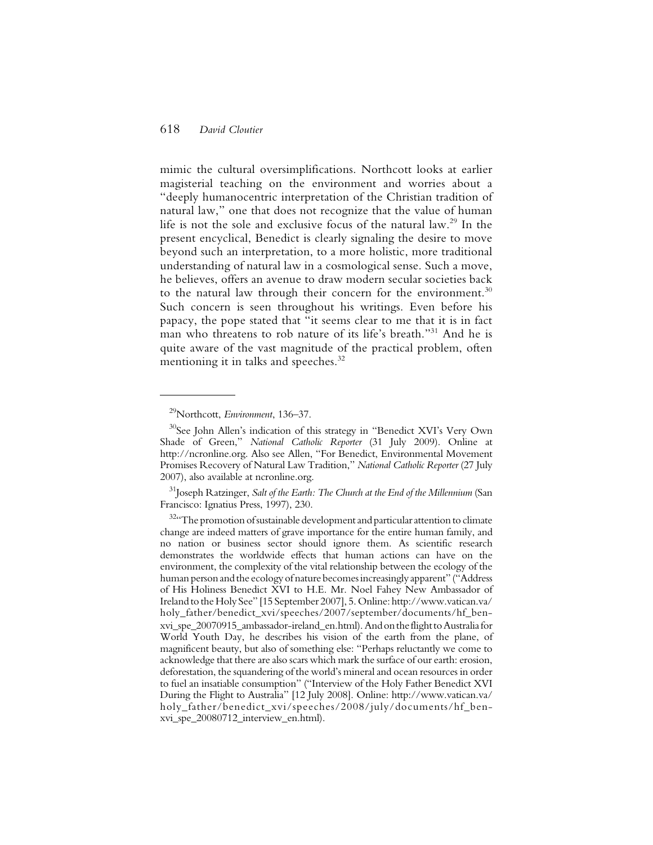mimic the cultural oversimplifications. Northcott looks at earlier magisterial teaching on the environment and worries about a "deeply humanocentric interpretation of the Christian tradition of natural law," one that does not recognize that the value of human life is not the sole and exclusive focus of the natural law.<sup>29</sup> In the present encyclical, Benedict is clearly signaling the desire to move beyond such an interpretation, to a more holistic, more traditional understanding of natural law in a cosmological sense. Such a move, he believes, offers an avenue to draw modern secular societies back to the natural law through their concern for the environment. $30$ Such concern is seen throughout his writings. Even before his papacy, the pope stated that "it seems clear to me that it is in fact man who threatens to rob nature of its life's breath."31 And he is quite aware of the vast magnitude of the practical problem, often mentioning it in talks and speeches.<sup>32</sup>

31Joseph Ratzinger, *Salt of the Earth: The Church at the End of the Millennium* (San Francisco: Ignatius Press, 1997), 230.

<sup>29</sup>Northcott, *Environment*, 136–37.

<sup>&</sup>lt;sup>30</sup>See John Allen's indication of this strategy in "Benedict XVI's Very Own Shade of Green," *National Catholic Reporter* (31 July 2009). Online at http://ncronline.org. Also see Allen, "For Benedict, Environmental Movement Promises Recovery of Natural Law Tradition," *National Catholic Reporter* (27 July 2007), also available at ncronline.org.

 $32\alpha$ The promotion of sustainable development and particular attention to climate change are indeed matters of grave importance for the entire human family, and no nation or business sector should ignore them. As scientific research demonstrates the worldwide effects that human actions can have on the environment, the complexity of the vital relationship between the ecology of the human person and the ecology of nature becomes increasingly apparent" ("Address of His Holiness Benedict XVI to H.E. Mr. Noel Fahey New Ambassador of Ireland to the Holy See" [15 September 2007], 5. Online: http://www.vatican.va/ holy\_father/benedict\_xvi/speeches/2007/september/documents/hf\_benxvi\_spe\_20070915\_ambassador-ireland\_en.html).And on the flight to Australia for World Youth Day, he describes his vision of the earth from the plane, of magnificent beauty, but also of something else: "Perhaps reluctantly we come to acknowledge that there are also scars which mark the surface of our earth: erosion, deforestation, the squandering of the world's mineral and ocean resources in order to fuel an insatiable consumption" ("Interview of the Holy Father Benedict XVI During the Flight to Australia" [12 July 2008]. Online: http://www.vatican.va/ holy father/benedict\_xvi/speeches/2008/july/documents/hf\_benxvi\_spe\_20080712\_interview\_en.html).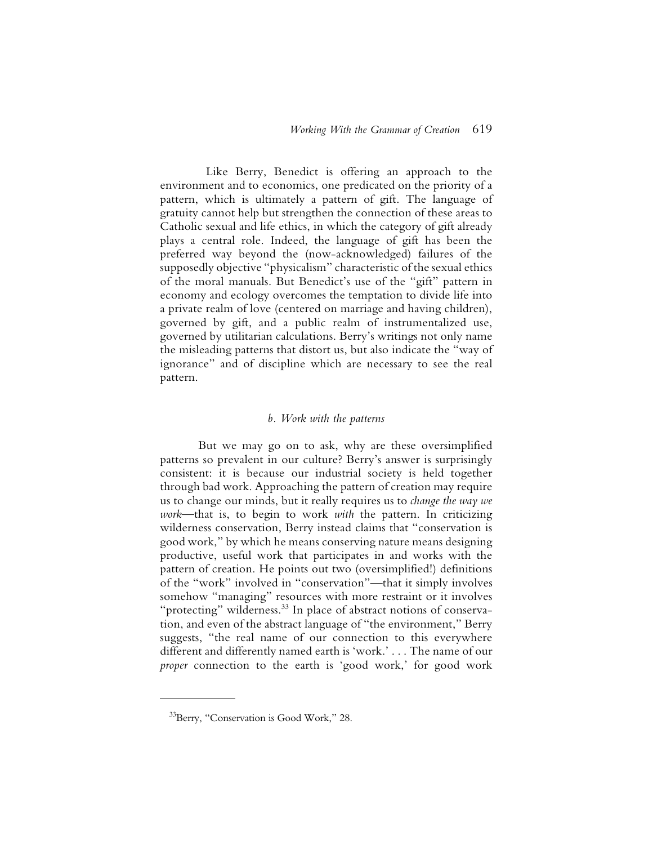Like Berry, Benedict is offering an approach to the environment and to economics, one predicated on the priority of a pattern, which is ultimately a pattern of gift. The language of gratuity cannot help but strengthen the connection of these areas to Catholic sexual and life ethics, in which the category of gift already plays a central role. Indeed, the language of gift has been the preferred way beyond the (now-acknowledged) failures of the supposedly objective "physicalism" characteristic of the sexual ethics of the moral manuals. But Benedict's use of the "gift" pattern in economy and ecology overcomes the temptation to divide life into a private realm of love (centered on marriage and having children), governed by gift, and a public realm of instrumentalized use, governed by utilitarian calculations. Berry's writings not only name the misleading patterns that distort us, but also indicate the "way of ignorance" and of discipline which are necessary to see the real pattern.

#### *b. Work with the patterns*

But we may go on to ask, why are these oversimplified patterns so prevalent in our culture? Berry's answer is surprisingly consistent: it is because our industrial society is held together through bad work. Approaching the pattern of creation may require us to change our minds, but it really requires us to *change the way we work*—that is, to begin to work *with* the pattern. In criticizing wilderness conservation, Berry instead claims that "conservation is good work," by which he means conserving nature means designing productive, useful work that participates in and works with the pattern of creation. He points out two (oversimplified!) definitions of the "work" involved in "conservation"—that it simply involves somehow "managing" resources with more restraint or it involves "protecting" wilderness.<sup>33</sup> In place of abstract notions of conservation, and even of the abstract language of "the environment," Berry suggests, "the real name of our connection to this everywhere different and differently named earth is 'work.' . . . The name of our *proper* connection to the earth is 'good work,' for good work

<sup>33</sup>Berry, "Conservation is Good Work," 28.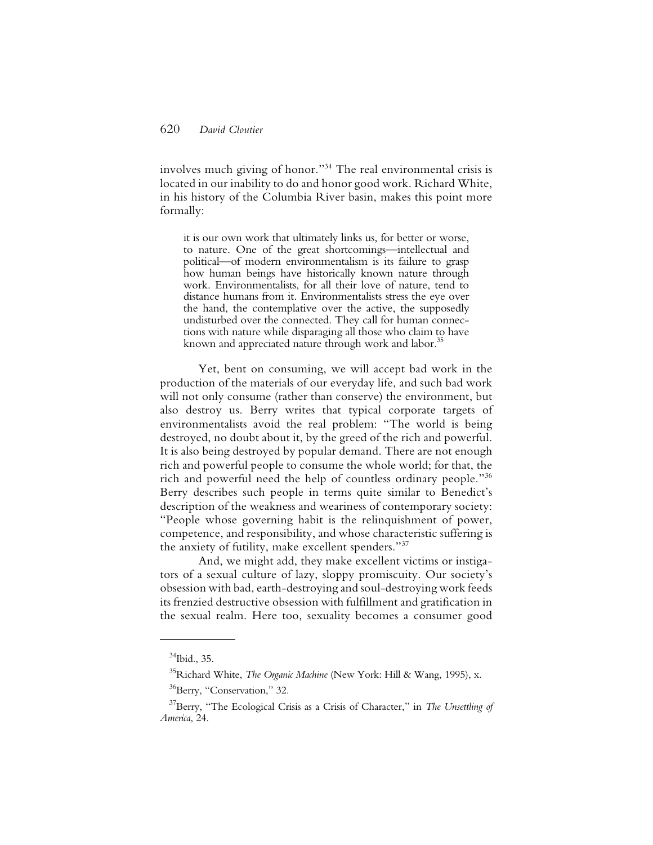involves much giving of honor."34 The real environmental crisis is located in our inability to do and honor good work. Richard White, in his history of the Columbia River basin, makes this point more formally:

it is our own work that ultimately links us, for better or worse, to nature. One of the great shortcomings—intellectual and political—of modern environmentalism is its failure to grasp how human beings have historically known nature through work. Environmentalists, for all their love of nature, tend to distance humans from it. Environmentalists stress the eye over the hand, the contemplative over the active, the supposedly undisturbed over the connected. They call for human connections with nature while disparaging all those who claim to have known and appreciated nature through work and labor.<sup>35</sup>

Yet, bent on consuming, we will accept bad work in the production of the materials of our everyday life, and such bad work will not only consume (rather than conserve) the environment, but also destroy us. Berry writes that typical corporate targets of environmentalists avoid the real problem: "The world is being destroyed, no doubt about it, by the greed of the rich and powerful. It is also being destroyed by popular demand. There are not enough rich and powerful people to consume the whole world; for that, the rich and powerful need the help of countless ordinary people."36 Berry describes such people in terms quite similar to Benedict's description of the weakness and weariness of contemporary society: "People whose governing habit is the relinquishment of power, competence, and responsibility, and whose characteristic suffering is the anxiety of futility, make excellent spenders."37

And, we might add, they make excellent victims or instigators of a sexual culture of lazy, sloppy promiscuity. Our society's obsession with bad, earth-destroying and soul-destroying work feeds its frenzied destructive obsession with fulfillment and gratification in the sexual realm. Here too, sexuality becomes a consumer good

<sup>&</sup>lt;sup>34</sup>Ibid., 35.

<sup>35</sup>Richard White, *The Organic Machine* (New York: Hill & Wang, 1995), x.

<sup>&</sup>lt;sup>36</sup>Berry, "Conservation," 32.

<sup>37</sup>Berry, "The Ecological Crisis as a Crisis of Character," in *The Unsettling of America*, 24.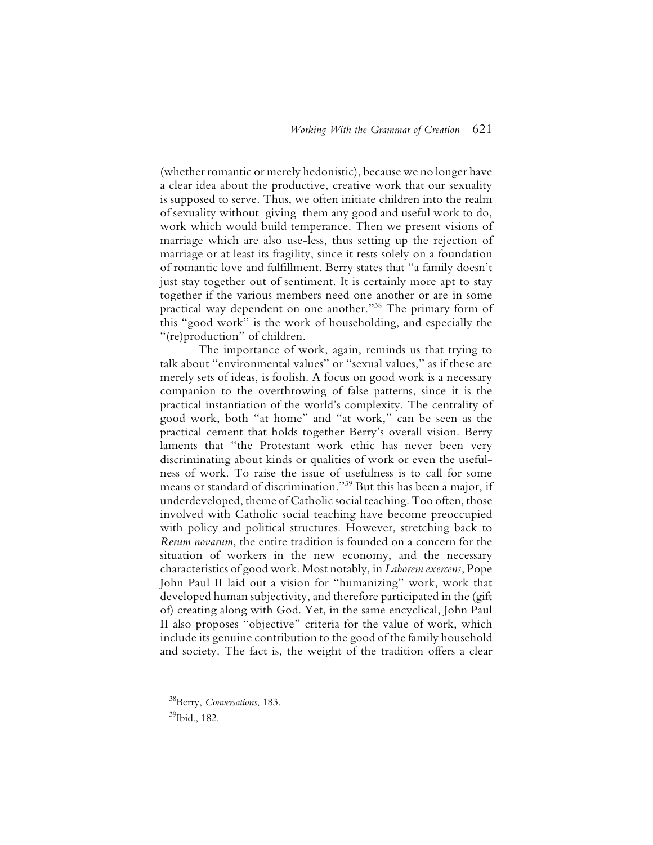(whether romantic or merely hedonistic), because we no longer have a clear idea about the productive, creative work that our sexuality is supposed to serve. Thus, we often initiate children into the realm of sexuality without giving them any good and useful work to do, work which would build temperance. Then we present visions of marriage which are also use-less, thus setting up the rejection of marriage or at least its fragility, since it rests solely on a foundation of romantic love and fulfillment. Berry states that "a family doesn't just stay together out of sentiment. It is certainly more apt to stay together if the various members need one another or are in some practical way dependent on one another."38 The primary form of this "good work" is the work of householding, and especially the "(re)production" of children.

The importance of work, again, reminds us that trying to talk about "environmental values" or "sexual values," as if these are merely sets of ideas, is foolish. A focus on good work is a necessary companion to the overthrowing of false patterns, since it is the practical instantiation of the world's complexity. The centrality of good work, both "at home" and "at work," can be seen as the practical cement that holds together Berry's overall vision. Berry laments that "the Protestant work ethic has never been very discriminating about kinds or qualities of work or even the usefulness of work. To raise the issue of usefulness is to call for some means or standard of discrimination."39 But this has been a major, if underdeveloped, theme of Catholic social teaching. Too often, those involved with Catholic social teaching have become preoccupied with policy and political structures. However, stretching back to *Rerum novarum*, the entire tradition is founded on a concern for the situation of workers in the new economy, and the necessary characteristics of good work. Most notably, in *Laborem exercens*, Pope John Paul II laid out a vision for "humanizing" work, work that developed human subjectivity, and therefore participated in the (gift of) creating along with God. Yet, in the same encyclical, John Paul II also proposes "objective" criteria for the value of work, which include its genuine contribution to the good of the family household and society. The fact is, the weight of the tradition offers a clear

<sup>38</sup>Berry, *Conversations*, 183.

<sup>39</sup>Ibid., 182.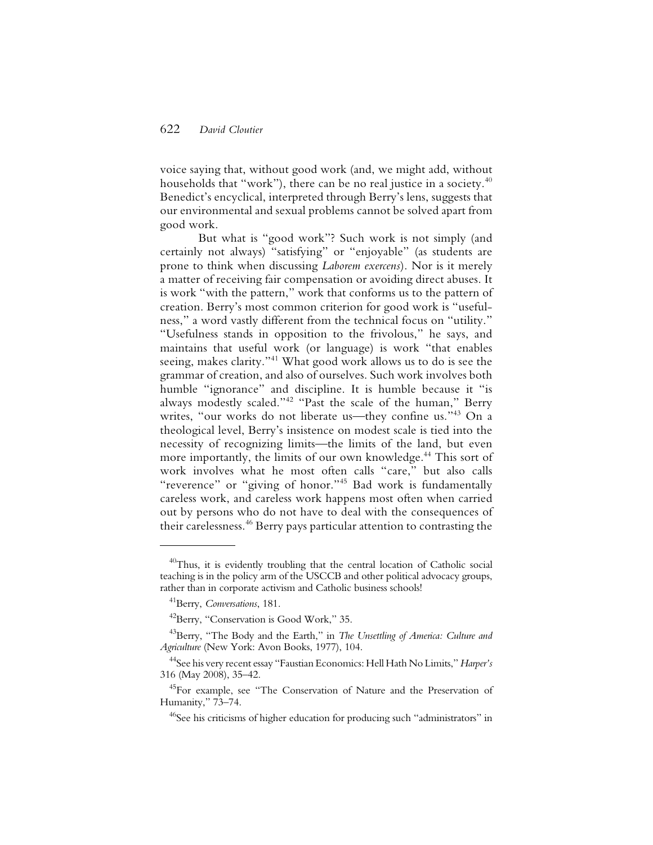voice saying that, without good work (and, we might add, without households that "work"), there can be no real justice in a society.<sup>40</sup> Benedict's encyclical, interpreted through Berry's lens, suggests that our environmental and sexual problems cannot be solved apart from good work.

But what is "good work"? Such work is not simply (and certainly not always) "satisfying" or "enjoyable" (as students are prone to think when discussing *Laborem exercens*). Nor is it merely a matter of receiving fair compensation or avoiding direct abuses. It is work "with the pattern," work that conforms us to the pattern of creation. Berry's most common criterion for good work is "usefulness," a word vastly different from the technical focus on "utility." "Usefulness stands in opposition to the frivolous," he says, and maintains that useful work (or language) is work "that enables seeing, makes clarity."41 What good work allows us to do is see the grammar of creation, and also of ourselves. Such work involves both humble "ignorance" and discipline. It is humble because it "is always modestly scaled."42 "Past the scale of the human," Berry writes, "our works do not liberate us—they confine us."<sup>43</sup> On a theological level, Berry's insistence on modest scale is tied into the necessity of recognizing limits—the limits of the land, but even more importantly, the limits of our own knowledge.44 This sort of work involves what he most often calls "care," but also calls "reverence" or "giving of honor."<sup>45</sup> Bad work is fundamentally careless work, and careless work happens most often when carried out by persons who do not have to deal with the consequences of their carelessness.46 Berry pays particular attention to contrasting the

 $^{40}$ Thus, it is evidently troubling that the central location of Catholic social teaching is in the policy arm of the USCCB and other political advocacy groups, rather than in corporate activism and Catholic business schools!

<sup>41</sup>Berry, *Conversations*, 181.

<sup>&</sup>lt;sup>42</sup>Berry, "Conservation is Good Work," 35.

<sup>43</sup>Berry, "The Body and the Earth," in *The Unsettling of America: Culture and Agriculture* (New York: Avon Books, 1977), 104.

<sup>44</sup>See his very recent essay "Faustian Economics: Hell Hath No Limits," *Harper's* 316 (May 2008), 35–42.

<sup>&</sup>lt;sup>45</sup>For example, see "The Conservation of Nature and the Preservation of Humanity," 73–74.

<sup>&</sup>lt;sup>46</sup>See his criticisms of higher education for producing such "administrators" in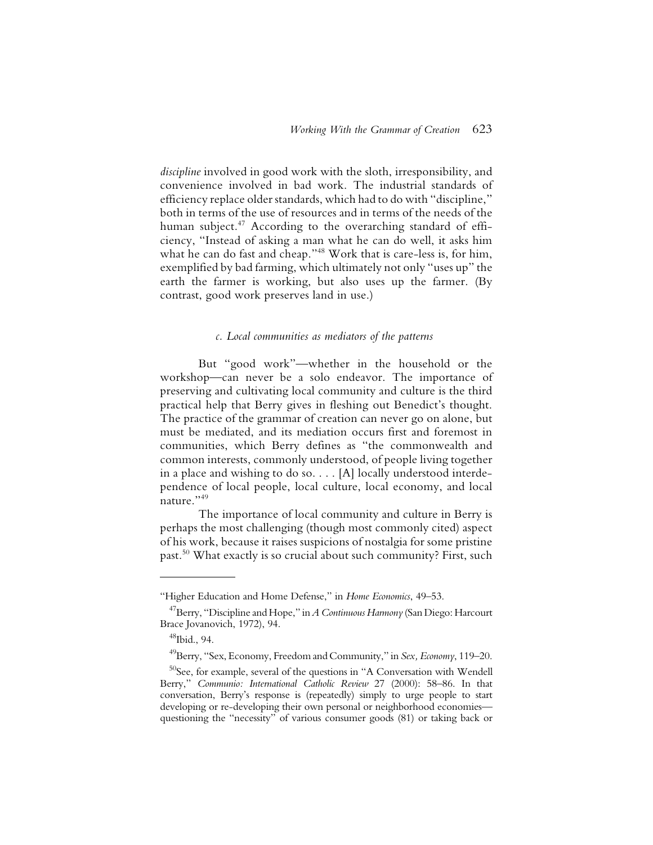*discipline* involved in good work with the sloth, irresponsibility, and convenience involved in bad work. The industrial standards of efficiency replace older standards, which had to do with "discipline," both in terms of the use of resources and in terms of the needs of the human subject.<sup>47</sup> According to the overarching standard of efficiency, "Instead of asking a man what he can do well, it asks him what he can do fast and cheap."48 Work that is care-less is, for him, exemplified by bad farming, which ultimately not only "uses up" the earth the farmer is working, but also uses up the farmer. (By contrast, good work preserves land in use.)

#### *c. Local communities as mediators of the patterns*

But "good work"—whether in the household or the workshop—can never be a solo endeavor. The importance of preserving and cultivating local community and culture is the third practical help that Berry gives in fleshing out Benedict's thought. The practice of the grammar of creation can never go on alone, but must be mediated, and its mediation occurs first and foremost in communities, which Berry defines as "the commonwealth and common interests, commonly understood, of people living together in a place and wishing to do so. . . . [A] locally understood interdependence of local people, local culture, local economy, and local nature."<sup>49</sup>

The importance of local community and culture in Berry is perhaps the most challenging (though most commonly cited) aspect of his work, because it raises suspicions of nostalgia for some pristine past.50 What exactly is so crucial about such community? First, such

<sup>&</sup>quot;Higher Education and Home Defense," in *Home Economics*, 49–53.

<sup>47</sup>Berry, "Discipline and Hope," in *A Continuous Harmony* (San Diego: Harcourt Brace Jovanovich, 1972), 94.

<sup>48</sup>Ibid., 94.

<sup>49</sup>Berry, "Sex, Economy, Freedom and Community," in *Sex, Economy*, 119–20.

 $50$ See, for example, several of the questions in "A Conversation with Wendell Berry," *Communio: International Catholic Review* 27 (2000): 58–86. In that conversation, Berry's response is (repeatedly) simply to urge people to start developing or re-developing their own personal or neighborhood economies questioning the "necessity" of various consumer goods (81) or taking back or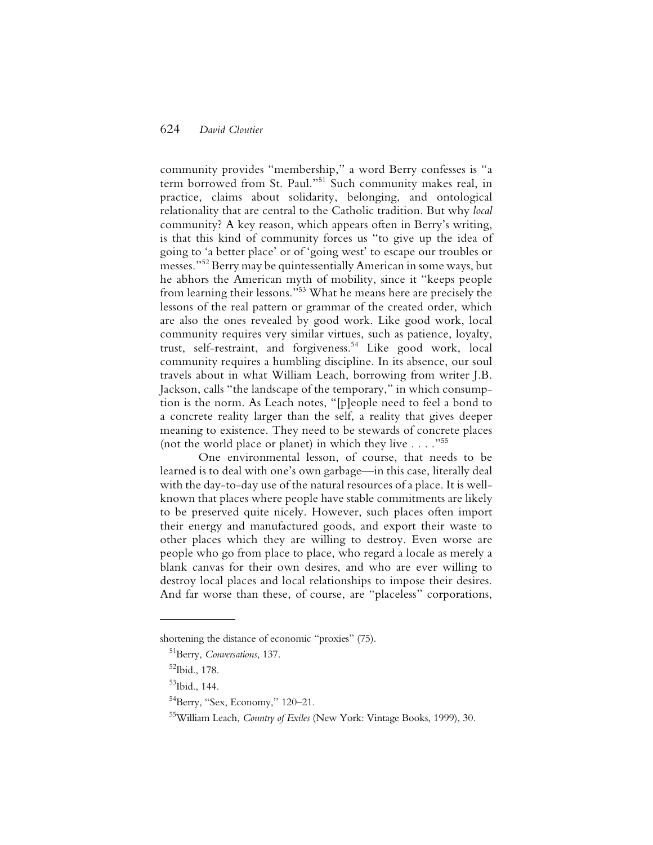community provides "membership," a word Berry confesses is "a term borrowed from St. Paul."51 Such community makes real, in practice, claims about solidarity, belonging, and ontological relationality that are central to the Catholic tradition. But why *local* community? A key reason, which appears often in Berry's writing, is that this kind of community forces us "to give up the idea of going to 'a better place' or of 'going west' to escape our troubles or messes."52 Berry may be quintessentially American in some ways, but he abhors the American myth of mobility, since it "keeps people from learning their lessons."53 What he means here are precisely the lessons of the real pattern or grammar of the created order, which are also the ones revealed by good work. Like good work, local community requires very similar virtues, such as patience, loyalty, trust, self-restraint, and forgiveness.54 Like good work, local community requires a humbling discipline. In its absence, our soul travels about in what William Leach, borrowing from writer J.B. Jackson, calls "the landscape of the temporary," in which consumption is the norm. As Leach notes, "[p]eople need to feel a bond to a concrete reality larger than the self, a reality that gives deeper meaning to existence. They need to be stewards of concrete places (not the world place or planet) in which they live . . . ."55

One environmental lesson, of course, that needs to be learned is to deal with one's own garbage—in this case, literally deal with the day-to-day use of the natural resources of a place. It is wellknown that places where people have stable commitments are likely to be preserved quite nicely. However, such places often import their energy and manufactured goods, and export their waste to other places which they are willing to destroy. Even worse are people who go from place to place, who regard a locale as merely a blank canvas for their own desires, and who are ever willing to destroy local places and local relationships to impose their desires. And far worse than these, of course, are "placeless" corporations,

shortening the distance of economic "proxies" (75).

<sup>51</sup>Berry, *Conversations*, 137.

<sup>52</sup>Ibid., 178.

<sup>53</sup>Ibid., 144.

 $54$ Berry, "Sex, Economy," 120–21.

<sup>55</sup>William Leach, *Country of Exiles* (New York: Vintage Books, 1999), 30.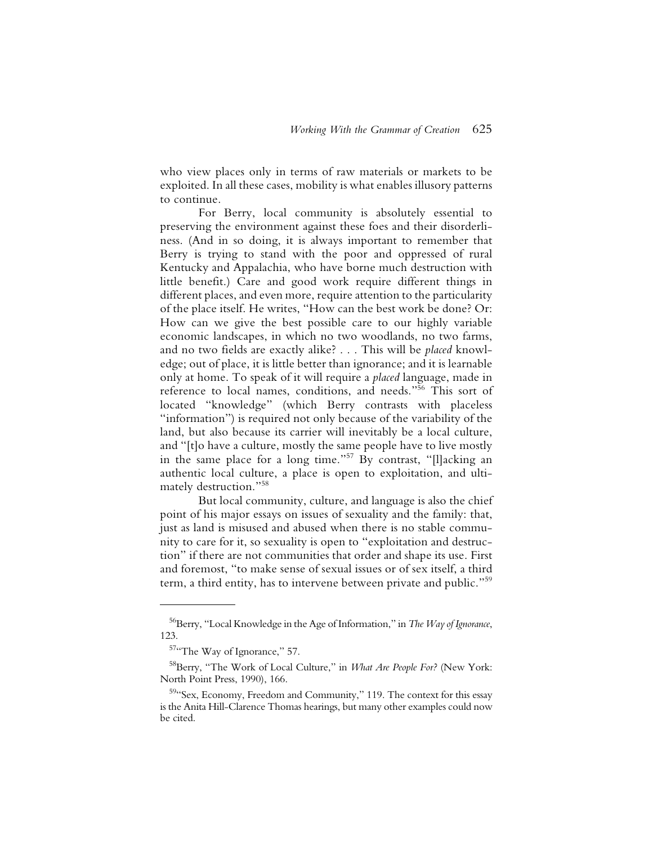who view places only in terms of raw materials or markets to be exploited. In all these cases, mobility is what enables illusory patterns to continue.

For Berry, local community is absolutely essential to preserving the environment against these foes and their disorderliness. (And in so doing, it is always important to remember that Berry is trying to stand with the poor and oppressed of rural Kentucky and Appalachia, who have borne much destruction with little benefit.) Care and good work require different things in different places, and even more, require attention to the particularity of the place itself. He writes, "How can the best work be done? Or: How can we give the best possible care to our highly variable economic landscapes, in which no two woodlands, no two farms, and no two fields are exactly alike? . . . This will be *placed* knowledge; out of place, it is little better than ignorance; and it is learnable only at home. To speak of it will require a *placed* language, made in reference to local names, conditions, and needs."56 This sort of located "knowledge" (which Berry contrasts with placeless "information") is required not only because of the variability of the land, but also because its carrier will inevitably be a local culture, and "[t]o have a culture, mostly the same people have to live mostly in the same place for a long time."57 By contrast, "[l]acking an authentic local culture, a place is open to exploitation, and ultimately destruction."58

But local community, culture, and language is also the chief point of his major essays on issues of sexuality and the family: that, just as land is misused and abused when there is no stable community to care for it, so sexuality is open to "exploitation and destruction" if there are not communities that order and shape its use. First and foremost, "to make sense of sexual issues or of sex itself, a third term, a third entity, has to intervene between private and public."59

<sup>56</sup>Berry, "Local Knowledge in the Age of Information," in *The Way of Ignorance*, 123.

<sup>&</sup>lt;sup>57</sup>"The Way of Ignorance," 57.

<sup>58</sup>Berry, "The Work of Local Culture," in *What Are People For?* (New York: North Point Press, 1990), 166.

<sup>&</sup>lt;sup>59</sup>"Sex, Economy, Freedom and Community," 119. The context for this essay is the Anita Hill-Clarence Thomas hearings, but many other examples could now be cited.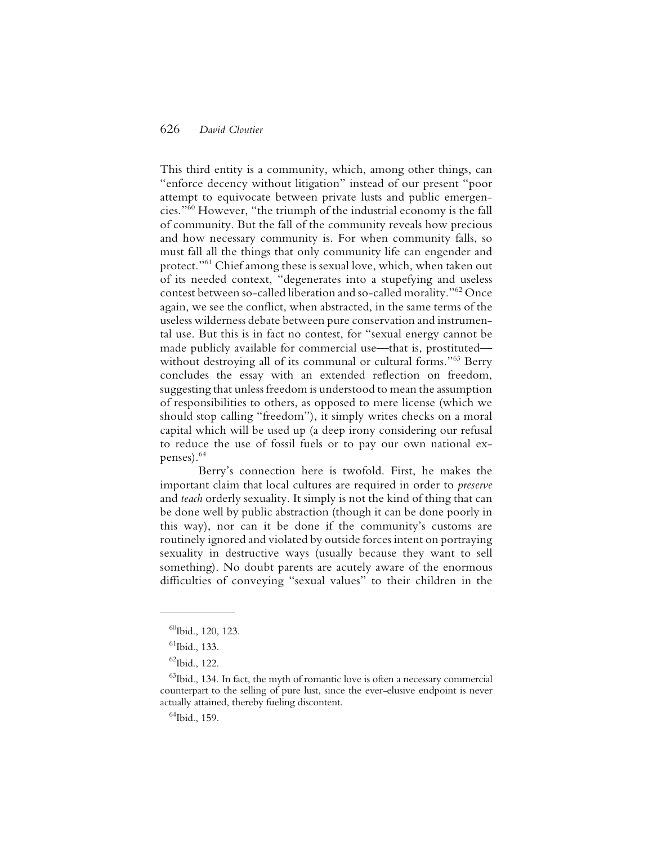This third entity is a community, which, among other things, can "enforce decency without litigation" instead of our present "poor attempt to equivocate between private lusts and public emergencies."60 However, "the triumph of the industrial economy is the fall of community. But the fall of the community reveals how precious and how necessary community is. For when community falls, so must fall all the things that only community life can engender and protect."<sup>61</sup> Chief among these is sexual love, which, when taken out of its needed context, "degenerates into a stupefying and useless contest between so-called liberation and so-called morality."62 Once again, we see the conflict, when abstracted, in the same terms of the useless wilderness debate between pure conservation and instrumental use. But this is in fact no contest, for "sexual energy cannot be made publicly available for commercial use—that is, prostituted without destroying all of its communal or cultural forms."<sup>63</sup> Berry concludes the essay with an extended reflection on freedom, suggesting that unless freedom is understood to mean the assumption of responsibilities to others, as opposed to mere license (which we should stop calling "freedom"), it simply writes checks on a moral capital which will be used up (a deep irony considering our refusal to reduce the use of fossil fuels or to pay our own national expenses).64

Berry's connection here is twofold. First, he makes the important claim that local cultures are required in order to *preserve* and *teach* orderly sexuality. It simply is not the kind of thing that can be done well by public abstraction (though it can be done poorly in this way), nor can it be done if the community's customs are routinely ignored and violated by outside forces intent on portraying sexuality in destructive ways (usually because they want to sell something). No doubt parents are acutely aware of the enormous difficulties of conveying "sexual values" to their children in the

<sup>64</sup>Ibid., 159.

 $^{60}$ Ibid., 120, 123.

 $<sup>61</sup>$ Ibid., 133.</sup>

 $62$ Ibid., 122.

 $^{63}$ Ibid., 134. In fact, the myth of romantic love is often a necessary commercial counterpart to the selling of pure lust, since the ever-elusive endpoint is never actually attained, thereby fueling discontent.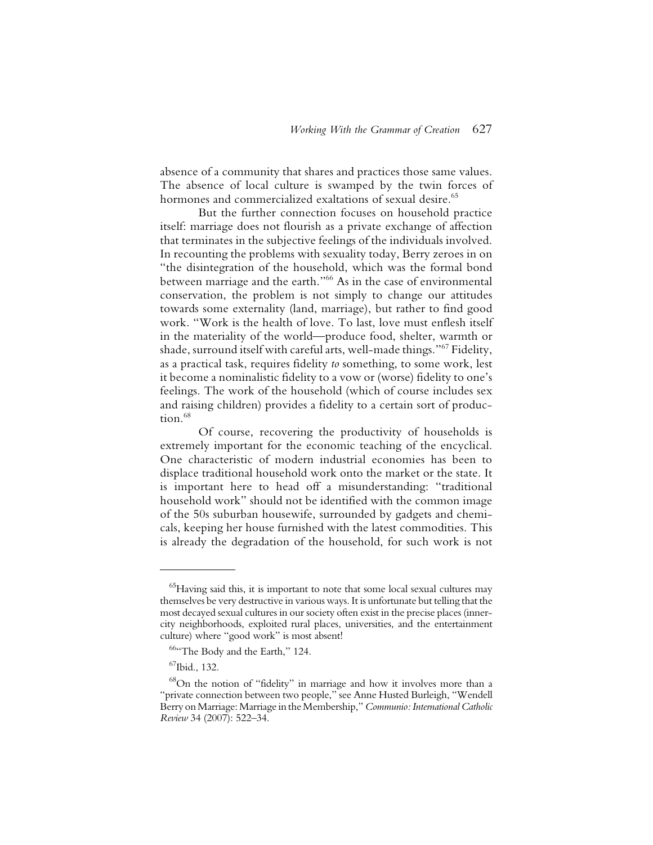absence of a community that shares and practices those same values. The absence of local culture is swamped by the twin forces of hormones and commercialized exaltations of sexual desire.<sup>65</sup>

But the further connection focuses on household practice itself: marriage does not flourish as a private exchange of affection that terminates in the subjective feelings of the individuals involved. In recounting the problems with sexuality today, Berry zeroes in on "the disintegration of the household, which was the formal bond between marriage and the earth."66 As in the case of environmental conservation, the problem is not simply to change our attitudes towards some externality (land, marriage), but rather to find good work. "Work is the health of love. To last, love must enflesh itself in the materiality of the world—produce food, shelter, warmth or shade, surround itself with careful arts, well-made things."67 Fidelity, as a practical task, requires fidelity *to* something, to some work, lest it become a nominalistic fidelity to a vow or (worse) fidelity to one's feelings. The work of the household (which of course includes sex and raising children) provides a fidelity to a certain sort of production.<sup>68</sup>

Of course, recovering the productivity of households is extremely important for the economic teaching of the encyclical. One characteristic of modern industrial economies has been to displace traditional household work onto the market or the state. It is important here to head off a misunderstanding: "traditional household work" should not be identified with the common image of the 50s suburban housewife, surrounded by gadgets and chemicals, keeping her house furnished with the latest commodities. This is already the degradation of the household, for such work is not

 $^{65}$ Having said this, it is important to note that some local sexual cultures may themselves be very destructive in various ways. It is unfortunate but telling that the most decayed sexual cultures in our society often exist in the precise places (innercity neighborhoods, exploited rural places, universities, and the entertainment culture) where "good work" is most absent!

<sup>&</sup>lt;sup>664</sup>The Body and the Earth," 124.

 $67$ Ibid., 132.

<sup>68</sup>On the notion of "fidelity" in marriage and how it involves more than a "private connection between two people," see Anne Husted Burleigh, "Wendell Berry on Marriage: Marriage in the Membership," *Communio: International Catholic Review* 34 (2007): 522–34.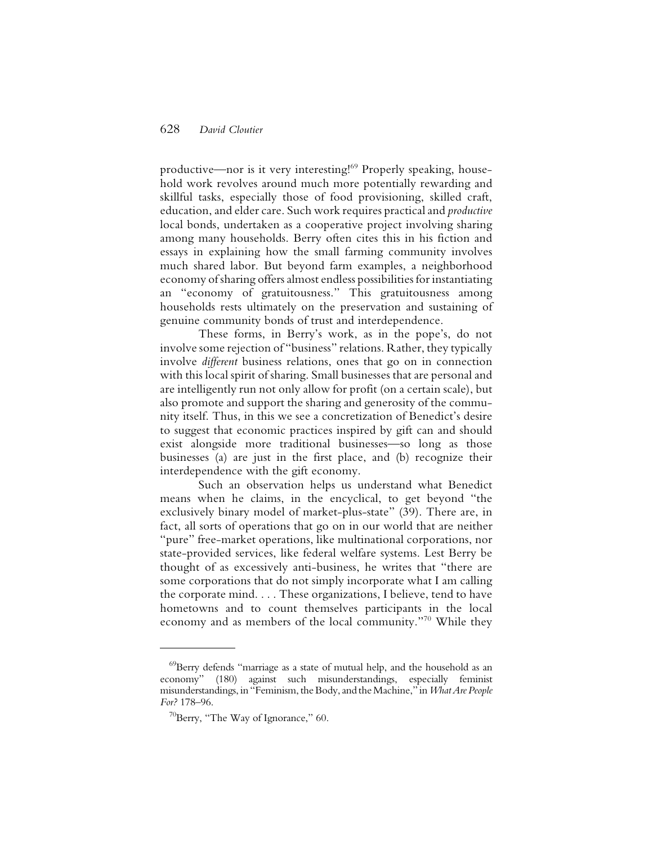productive—nor is it very interesting!<sup>69</sup> Properly speaking, household work revolves around much more potentially rewarding and skillful tasks, especially those of food provisioning, skilled craft, education, and elder care. Such work requires practical and *productive* local bonds, undertaken as a cooperative project involving sharing among many households. Berry often cites this in his fiction and essays in explaining how the small farming community involves much shared labor. But beyond farm examples, a neighborhood economy of sharing offers almost endless possibilities for instantiating an "economy of gratuitousness." This gratuitousness among households rests ultimately on the preservation and sustaining of genuine community bonds of trust and interdependence.

These forms, in Berry's work, as in the pope's, do not involve some rejection of "business" relations. Rather, they typically involve *different* business relations, ones that go on in connection with this local spirit of sharing. Small businesses that are personal and are intelligently run not only allow for profit (on a certain scale), but also promote and support the sharing and generosity of the community itself. Thus, in this we see a concretization of Benedict's desire to suggest that economic practices inspired by gift can and should exist alongside more traditional businesses—so long as those businesses (a) are just in the first place, and (b) recognize their interdependence with the gift economy.

Such an observation helps us understand what Benedict means when he claims, in the encyclical, to get beyond "the exclusively binary model of market-plus-state" (39). There are, in fact, all sorts of operations that go on in our world that are neither "pure" free-market operations, like multinational corporations, nor state-provided services, like federal welfare systems. Lest Berry be thought of as excessively anti-business, he writes that "there are some corporations that do not simply incorporate what I am calling the corporate mind. . . . These organizations, I believe, tend to have hometowns and to count themselves participants in the local economy and as members of the local community."<sup>70</sup> While they

<sup>69</sup>Berry defends "marriage as a state of mutual help, and the household as an economy" (180) against such misunderstandings, especially feminist misunderstandings, in "Feminism, the Body, and the Machine," in *What Are People For?* 178–96.

 $70$ Berry, "The Way of Ignorance," 60.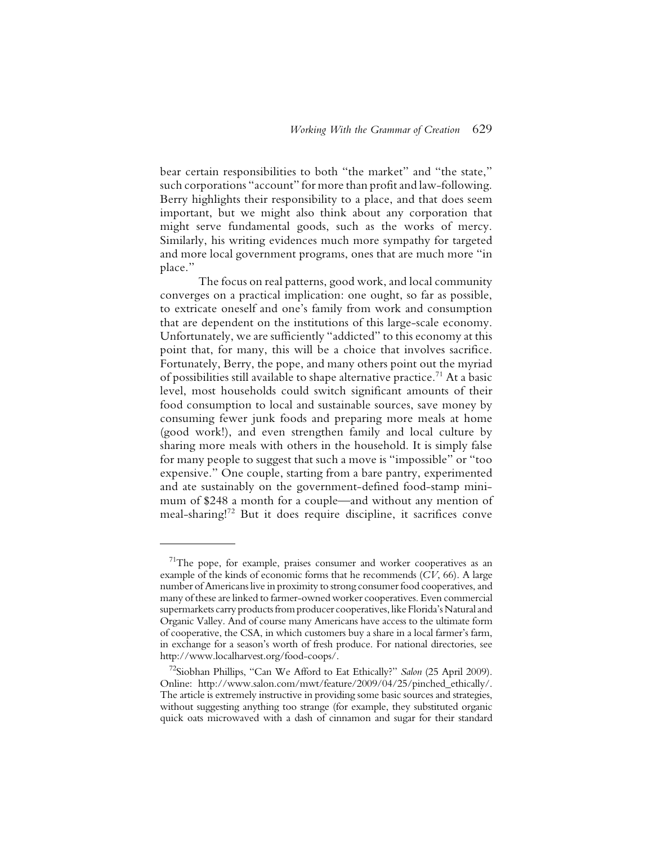bear certain responsibilities to both "the market" and "the state," such corporations "account" for more than profit and law-following. Berry highlights their responsibility to a place, and that does seem important, but we might also think about any corporation that might serve fundamental goods, such as the works of mercy. Similarly, his writing evidences much more sympathy for targeted and more local government programs, ones that are much more "in place."

The focus on real patterns, good work, and local community converges on a practical implication: one ought, so far as possible, to extricate oneself and one's family from work and consumption that are dependent on the institutions of this large-scale economy. Unfortunately, we are sufficiently "addicted" to this economy at this point that, for many, this will be a choice that involves sacrifice. Fortunately, Berry, the pope, and many others point out the myriad of possibilities still available to shape alternative practice.71 At a basic level, most households could switch significant amounts of their food consumption to local and sustainable sources, save money by consuming fewer junk foods and preparing more meals at home (good work!), and even strengthen family and local culture by sharing more meals with others in the household. It is simply false for many people to suggest that such a move is "impossible" or "too expensive." One couple, starting from a bare pantry, experimented and ate sustainably on the government-defined food-stamp minimum of \$248 a month for a couple—and without any mention of meal-sharing!72 But it does require discipline, it sacrifices conve

 $71$ The pope, for example, praises consumer and worker cooperatives as an example of the kinds of economic forms that he recommends (*CV*, 66). A large number of Americans live in proximity to strong consumer food cooperatives, and many of these are linked to farmer-owned worker cooperatives. Even commercial supermarkets carry products from producer cooperatives, like Florida's Natural and Organic Valley. And of course many Americans have access to the ultimate form of cooperative, the CSA, in which customers buy a share in a local farmer's farm, in exchange for a season's worth of fresh produce. For national directories, see http://www.localharvest.org/food-coops/.

<sup>72</sup>Siobhan Phillips, "Can We Afford to Eat Ethically?" *Salon* (25 April 2009). Online: http://www.salon.com/mwt/feature/2009/04/25/pinched\_ethically/. The article is extremely instructive in providing some basic sources and strategies, without suggesting anything too strange (for example, they substituted organic quick oats microwaved with a dash of cinnamon and sugar for their standard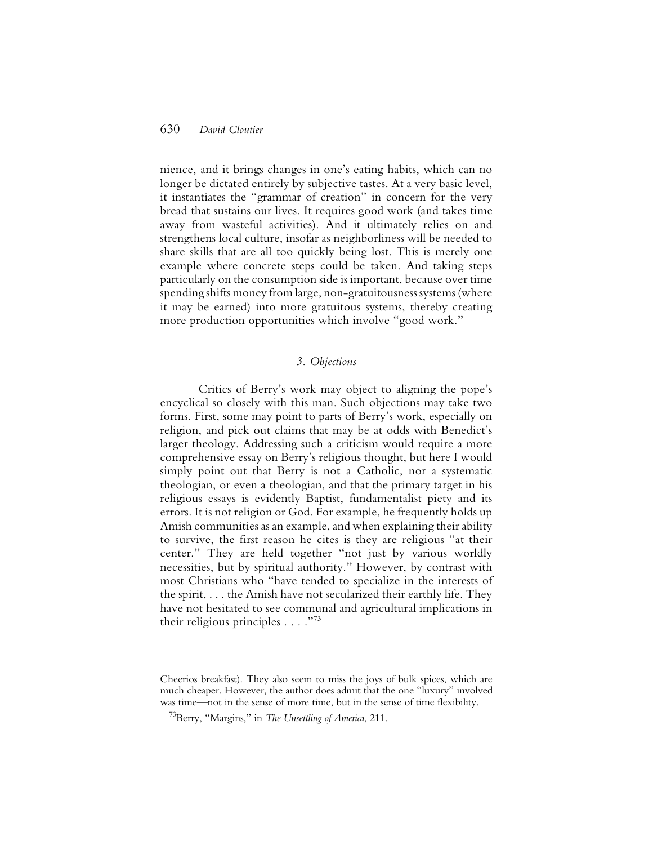nience, and it brings changes in one's eating habits, which can no longer be dictated entirely by subjective tastes. At a very basic level, it instantiates the "grammar of creation" in concern for the very bread that sustains our lives. It requires good work (and takes time away from wasteful activities). And it ultimately relies on and strengthens local culture, insofar as neighborliness will be needed to share skills that are all too quickly being lost. This is merely one example where concrete steps could be taken. And taking steps particularly on the consumption side is important, because over time spending shifts money from large, non-gratuitousness systems (where it may be earned) into more gratuitous systems, thereby creating more production opportunities which involve "good work."

## *3. Objections*

Critics of Berry's work may object to aligning the pope's encyclical so closely with this man. Such objections may take two forms. First, some may point to parts of Berry's work, especially on religion, and pick out claims that may be at odds with Benedict's larger theology. Addressing such a criticism would require a more comprehensive essay on Berry's religious thought, but here I would simply point out that Berry is not a Catholic, nor a systematic theologian, or even a theologian, and that the primary target in his religious essays is evidently Baptist, fundamentalist piety and its errors. It is not religion or God. For example, he frequently holds up Amish communities as an example, and when explaining their ability to survive, the first reason he cites is they are religious "at their center." They are held together "not just by various worldly necessities, but by spiritual authority." However, by contrast with most Christians who "have tended to specialize in the interests of the spirit, . . . the Amish have not secularized their earthly life. They have not hesitated to see communal and agricultural implications in their religious principles  $\ldots$ ."<sup>73</sup>

Cheerios breakfast). They also seem to miss the joys of bulk spices, which are much cheaper. However, the author does admit that the one "luxury" involved was time—not in the sense of more time, but in the sense of time flexibility.

<sup>73</sup>Berry, "Margins," in *The Unsettling of America*, 211.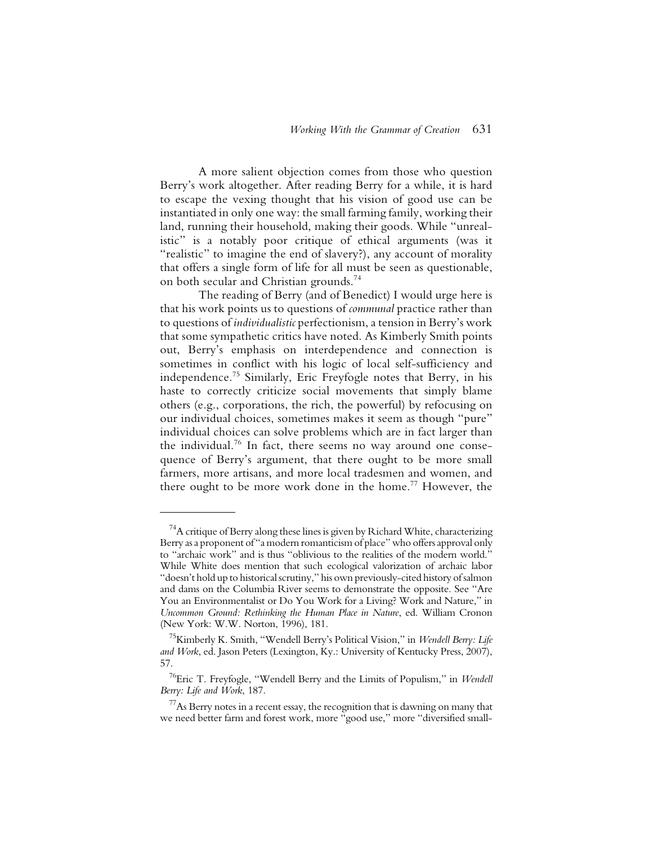A more salient objection comes from those who question Berry's work altogether. After reading Berry for a while, it is hard to escape the vexing thought that his vision of good use can be instantiated in only one way: the small farming family, working their land, running their household, making their goods. While "unrealistic" is a notably poor critique of ethical arguments (was it "realistic" to imagine the end of slavery?), any account of morality that offers a single form of life for all must be seen as questionable, on both secular and Christian grounds.74

The reading of Berry (and of Benedict) I would urge here is that his work points us to questions of *communal* practice rather than to questions of *individualistic* perfectionism, a tension in Berry's work that some sympathetic critics have noted. As Kimberly Smith points out, Berry's emphasis on interdependence and connection is sometimes in conflict with his logic of local self-sufficiency and independence.75 Similarly, Eric Freyfogle notes that Berry, in his haste to correctly criticize social movements that simply blame others (e.g., corporations, the rich, the powerful) by refocusing on our individual choices, sometimes makes it seem as though "pure" individual choices can solve problems which are in fact larger than the individual.<sup>76</sup> In fact, there seems no way around one consequence of Berry's argument, that there ought to be more small farmers, more artisans, and more local tradesmen and women, and there ought to be more work done in the home.<sup>77</sup> However, the

 $^{74}$ A critique of Berry along these lines is given by Richard White, characterizing Berry as a proponent of "a modern romanticism of place" who offers approval only to "archaic work" and is thus "oblivious to the realities of the modern world." While White does mention that such ecological valorization of archaic labor "doesn't hold up to historical scrutiny," his own previously-cited history of salmon and dams on the Columbia River seems to demonstrate the opposite. See "Are You an Environmentalist or Do You Work for a Living? Work and Nature," in *Uncommon Ground: Rethinking the Human Place in Nature*, ed. William Cronon (New York: W.W. Norton, 1996), 181.

<sup>75</sup>Kimberly K. Smith, "Wendell Berry's Political Vision," in *Wendell Berry: Life and Work*, ed. Jason Peters (Lexington, Ky.: University of Kentucky Press, 2007), 57.

<sup>76</sup>Eric T. Freyfogle, "Wendell Berry and the Limits of Populism," in *Wendell Berry: Life and Work*, 187.

 $^{77}$ As Berry notes in a recent essay, the recognition that is dawning on many that we need better farm and forest work, more "good use," more "diversified small-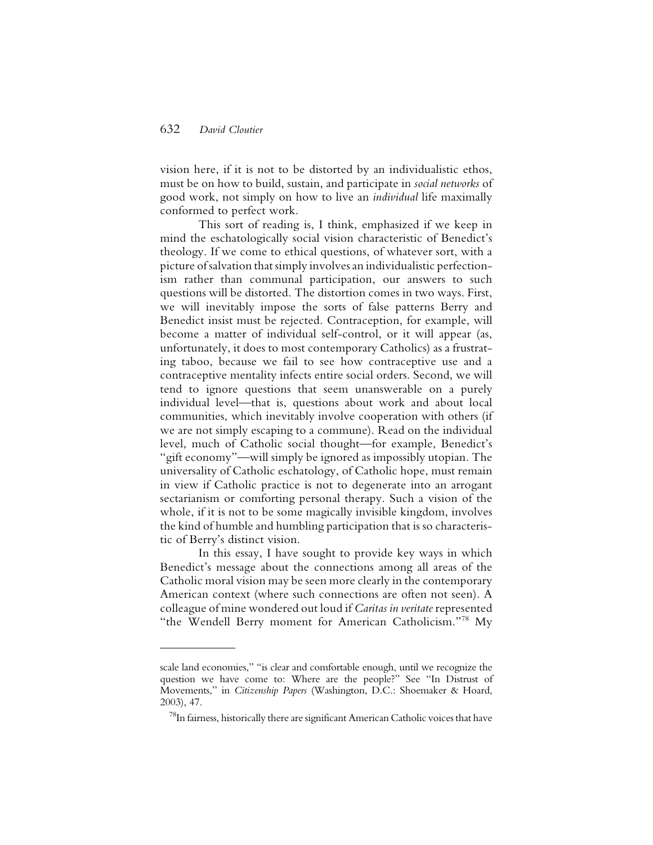vision here, if it is not to be distorted by an individualistic ethos, must be on how to build, sustain, and participate in *social networks* of good work, not simply on how to live an *individual* life maximally conformed to perfect work.

This sort of reading is, I think, emphasized if we keep in mind the eschatologically social vision characteristic of Benedict's theology. If we come to ethical questions, of whatever sort, with a picture of salvation that simply involves an individualistic perfectionism rather than communal participation, our answers to such questions will be distorted. The distortion comes in two ways. First, we will inevitably impose the sorts of false patterns Berry and Benedict insist must be rejected. Contraception, for example, will become a matter of individual self-control, or it will appear (as, unfortunately, it does to most contemporary Catholics) as a frustrating taboo, because we fail to see how contraceptive use and a contraceptive mentality infects entire social orders. Second, we will tend to ignore questions that seem unanswerable on a purely individual level—that is, questions about work and about local communities, which inevitably involve cooperation with others (if we are not simply escaping to a commune). Read on the individual level, much of Catholic social thought—for example, Benedict's "gift economy"—will simply be ignored as impossibly utopian. The universality of Catholic eschatology, of Catholic hope, must remain in view if Catholic practice is not to degenerate into an arrogant sectarianism or comforting personal therapy. Such a vision of the whole, if it is not to be some magically invisible kingdom, involves the kind of humble and humbling participation that is so characteristic of Berry's distinct vision.

In this essay, I have sought to provide key ways in which Benedict's message about the connections among all areas of the Catholic moral vision may be seen more clearly in the contemporary American context (where such connections are often not seen). A colleague of mine wondered out loud if *Caritas in veritate* represented "the Wendell Berry moment for American Catholicism."<sup>78</sup> My

scale land economies," "is clear and comfortable enough, until we recognize the question we have come to: Where are the people?" See "In Distrust of Movements," in *Citizenship Papers* (Washington, D.C.: Shoemaker & Hoard, 2003), 47.

 $^{78}$ In fairness, historically there are significant American Catholic voices that have